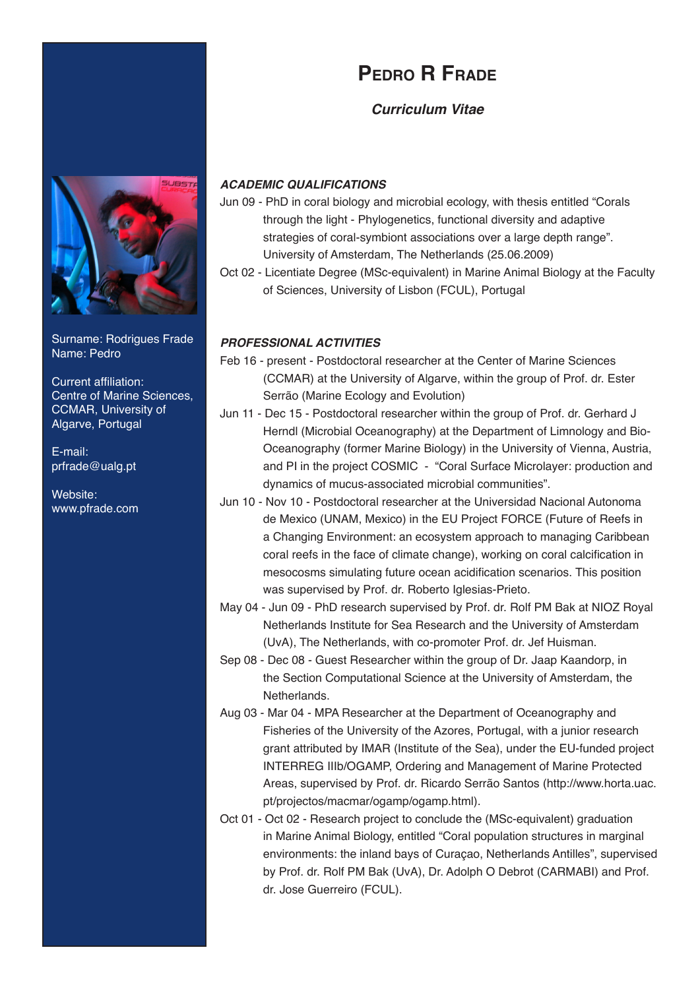# **Pedro R Frade**

## *Curriculum Vitae*



Surname: Rodrigues Frade Name: Pedro

Current affiliation: Centre of Marine Sciences, CCMAR, University of Algarve, Portugal

E-mail: prfrade@ualg.pt

Website: www.pfrade.com

## *ACADEMIC QUALIFICATIONS*

- Jun 09 PhD in coral biology and microbial ecology, with thesis entitled "Corals through the light - Phylogenetics, functional diversity and adaptive strategies of coral-symbiont associations over a large depth range". University of Amsterdam, The Netherlands (25.06.2009)
- Oct 02 Licentiate Degree (MSc-equivalent) in Marine Animal Biology at the Faculty of Sciences, University of Lisbon (FCUL), Portugal

## *PROFESSIONAL ACTIVITIES*

- Feb 16 present Postdoctoral researcher at the Center of Marine Sciences (CCMAR) at the University of Algarve, within the group of Prof. dr. Ester Serrão (Marine Ecology and Evolution)
- Jun 11 Dec 15 Postdoctoral researcher within the group of Prof. dr. Gerhard J Herndl (Microbial Oceanography) at the Department of Limnology and Bio-Oceanography (former Marine Biology) in the University of Vienna, Austria, and PI in the project COSMIC - "Coral Surface Microlayer: production and dynamics of mucus-associated microbial communities".
- Jun 10 Nov 10 Postdoctoral researcher at the Universidad Nacional Autonoma de Mexico (UNAM, Mexico) in the EU Project FORCE (Future of Reefs in a Changing Environment: an ecosystem approach to managing Caribbean coral reefs in the face of climate change), working on coral calcification in mesocosms simulating future ocean acidification scenarios. This position was supervised by Prof. dr. Roberto Iglesias-Prieto.
- May 04 Jun 09 PhD research supervised by Prof. dr. Rolf PM Bak at NIOZ Royal Netherlands Institute for Sea Research and the University of Amsterdam (UvA), The Netherlands, with co-promoter Prof. dr. Jef Huisman.
- Sep 08 Dec 08 Guest Researcher within the group of Dr. Jaap Kaandorp, in the Section Computational Science at the University of Amsterdam, the Netherlands.
- Aug 03 Mar 04 MPA Researcher at the Department of Oceanography and Fisheries of the University of the Azores, Portugal, with a junior research grant attributed by IMAR (Institute of the Sea), under the EU-funded project INTERREG IIIb/OGAMP, Ordering and Management of Marine Protected Areas, supervised by Prof. dr. Ricardo Serrão Santos (http://www.horta.uac. pt/projectos/macmar/ogamp/ogamp.html).
- Oct 01 Oct 02 Research project to conclude the (MSc-equivalent) graduation in Marine Animal Biology, entitled "Coral population structures in marginal environments: the inland bays of Curaçao, Netherlands Antilles", supervised by Prof. dr. Rolf PM Bak (UvA), Dr. Adolph O Debrot (CARMABI) and Prof. dr. Jose Guerreiro (FCUL).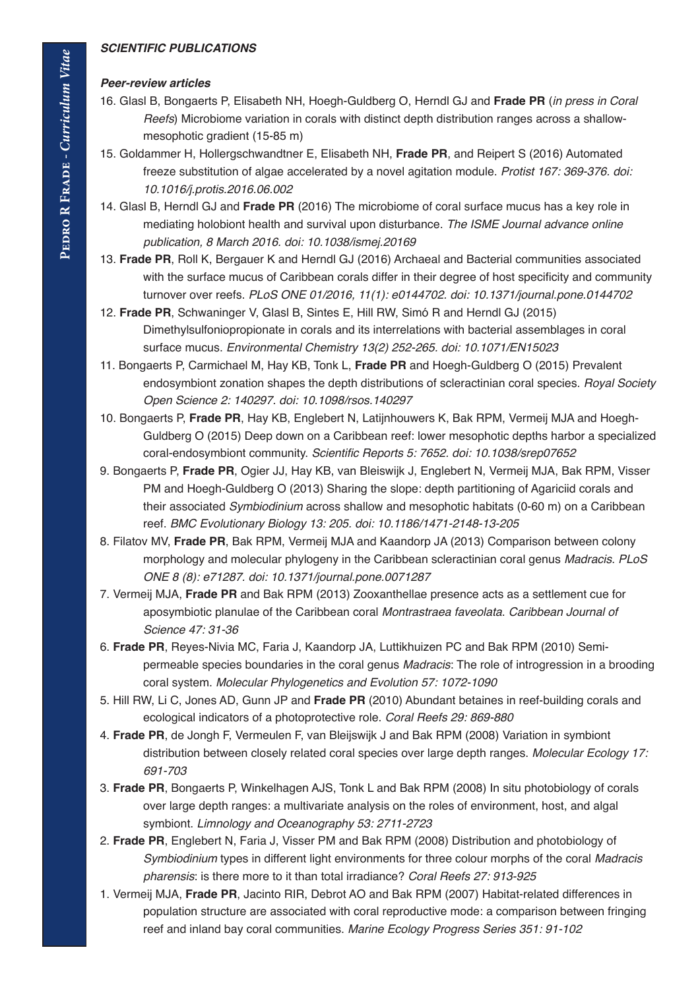#### *SCIENTIFIC PUBLICATIONS*

#### *Peer-review articles*

- 16. Glasl B, Bongaerts P, Elisabeth NH, Hoegh-Guldberg O, Herndl GJ and **Frade PR** (*in press in Coral Reefs*) Microbiome variation in corals with distinct depth distribution ranges across a shallowmesophotic gradient (15-85 m)
- 15. Goldammer H, Hollergschwandtner E, Elisabeth NH, **Frade PR**, and Reipert S (2016) Automated freeze substitution of algae accelerated by a novel agitation module. *Protist 167: 369-376. doi: 10.1016/j.protis.2016.06.002*
- 14. Glasl B, Herndl GJ and **Frade PR** (2016) The microbiome of coral surface mucus has a key role in mediating holobiont health and survival upon disturbance. *The ISME Journal advance online publication, 8 March 2016. doi: 10.1038/ismej.20169*
- 13. **Frade PR**, Roll K, Bergauer K and Herndl GJ (2016) Archaeal and Bacterial communities associated with the surface mucus of Caribbean corals differ in their degree of host specificity and community turnover over reefs. *PLoS ONE 01/2016, 11(1): e0144702. doi: 10.1371/journal.pone.0144702*
- 12. **Frade PR**, Schwaninger V, Glasl B, Sintes E, Hill RW, Simó R and Herndl GJ (2015) Dimethylsulfoniopropionate in corals and its interrelations with bacterial assemblages in coral surface mucus. *Environmental Chemistry 13(2) 252-265. doi: 10.1071/EN15023*
- 11. Bongaerts P, Carmichael M, Hay KB, Tonk L, **Frade PR** and Hoegh-Guldberg O (2015) Prevalent endosymbiont zonation shapes the depth distributions of scleractinian coral species. *Royal Society Open Science 2: 140297. doi: 10.1098/rsos.140297*
- 10. Bongaerts P, **Frade PR**, Hay KB, Englebert N, Latijnhouwers K, Bak RPM, Vermeij MJA and Hoegh-Guldberg O (2015) Deep down on a Caribbean reef: lower mesophotic depths harbor a specialized coral-endosymbiont community. Scientific Reports 5: 7652. doi: 10.1038/srep07652
- 9. Bongaerts P, **Frade PR**, Ogier JJ, Hay KB, van Bleiswijk J, Englebert N, Vermeij MJA, Bak RPM, Visser PM and Hoegh-Guldberg O (2013) Sharing the slope: depth partitioning of Agariciid corals and their associated *Symbiodinium* across shallow and mesophotic habitats (0-60 m) on a Caribbean reef. *BMC Evolutionary Biology 13: 205. doi: 10.1186/1471-2148-13-205*
- 8. Filatov MV, **Frade PR**, Bak RPM, Vermeij MJA and Kaandorp JA (2013) Comparison between colony morphology and molecular phylogeny in the Caribbean scleractinian coral genus *Madracis*. *PLoS ONE 8 (8): e71287. doi: 10.1371/journal.pone.0071287*
- 7. Vermeij MJA, **Frade PR** and Bak RPM (2013) Zooxanthellae presence acts as a settlement cue for aposymbiotic planulae of the Caribbean coral *Montrastraea faveolata*. *Caribbean Journal of Science 47: 31-36*
- 6. **Frade PR**, Reyes-Nivia MC, Faria J, Kaandorp JA, Luttikhuizen PC and Bak RPM (2010) Semipermeable species boundaries in the coral genus *Madracis*: The role of introgression in a brooding coral system. *Molecular Phylogenetics and Evolution 57: 1072-1090*
- 5. Hill RW, Li C, Jones AD, Gunn JP and **Frade PR** (2010) Abundant betaines in reef-building corals and ecological indicators of a photoprotective role. *Coral Reefs 29: 869-880*
- 4. **Frade PR**, de Jongh F, Vermeulen F, van Bleijswijk J and Bak RPM (2008) Variation in symbiont distribution between closely related coral species over large depth ranges. *Molecular Ecology 17: 691-703*
- 3. **Frade PR**, Bongaerts P, Winkelhagen AJS, Tonk L and Bak RPM (2008) In situ photobiology of corals over large depth ranges: a multivariate analysis on the roles of environment, host, and algal symbiont. *Limnology and Oceanography 53: 2711-2723*
- 2. **Frade PR**, Englebert N, Faria J, Visser PM and Bak RPM (2008) Distribution and photobiology of *Symbiodinium* types in different light environments for three colour morphs of the coral *Madracis pharensis*: is there more to it than total irradiance? *Coral Reefs 27: 913-925*
- 1. Vermeij MJA, **Frade PR**, Jacinto RIR, Debrot AO and Bak RPM (2007) Habitat-related differences in population structure are associated with coral reproductive mode: a comparison between fringing reef and inland bay coral communities. *Marine Ecology Progress Series 351: 91-102*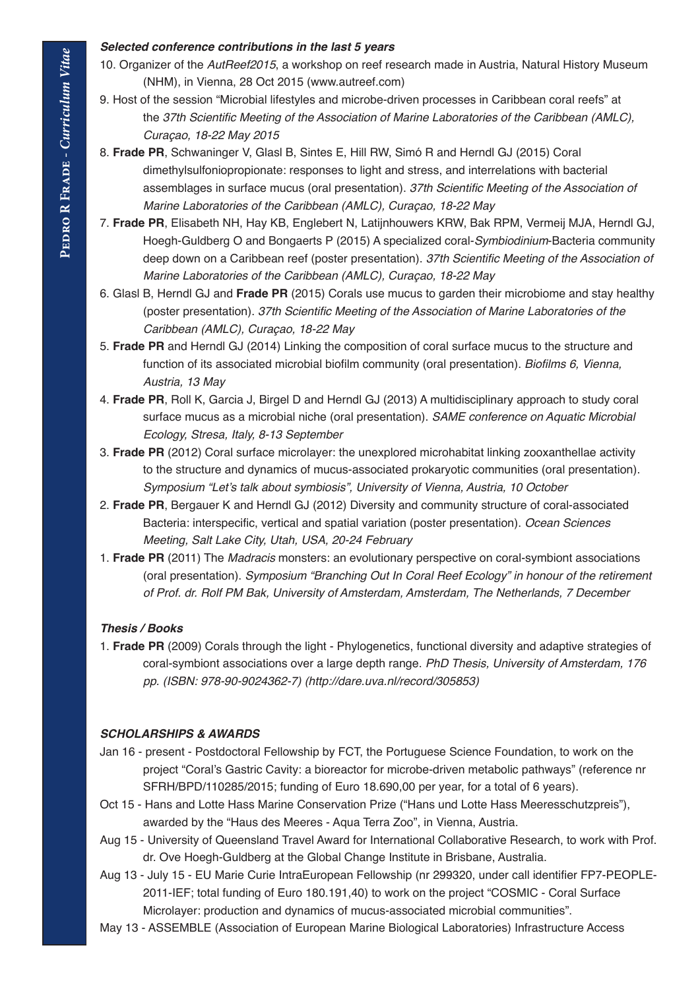#### *Selected conference contributions in the last 5 years*

- 10. Organizer of the *AutReef2015*, a workshop on reef research made in Austria, Natural History Museum (NHM), in Vienna, 28 Oct 2015 (www.autreef.com)
- 9. Host of the session "Microbial lifestyles and microbe-driven processes in Caribbean coral reefs" at the 37th Scientific Meeting of the Association of Marine Laboratories of the Caribbean (AMLC), *Curaçao, 18-22 May 2015*
- 8. **Frade PR**, Schwaninger V, Glasl B, Sintes E, Hill RW, Simó R and Herndl GJ (2015) Coral dimethylsulfoniopropionate: responses to light and stress, and interrelations with bacterial assemblages in surface mucus (oral presentation). 37th Scientific Meeting of the Association of *Marine Laboratories of the Caribbean (AMLC), Curaçao, 18-22 May*
- 7. **Frade PR**, Elisabeth NH, Hay KB, Englebert N, Latijnhouwers KRW, Bak RPM, Vermeij MJA, Herndl GJ, Hoegh-Guldberg O and Bongaerts P (2015) A specialized coral-*Symbiodinium*-Bacteria community deep down on a Caribbean reef (poster presentation). 37th Scientific Meeting of the Association of *Marine Laboratories of the Caribbean (AMLC), Curaçao, 18-22 May*
- 6. Glasl B, Herndl GJ and **Frade PR** (2015) Corals use mucus to garden their microbiome and stay healthy (poster presentation). 37th Scientific Meeting of the Association of Marine Laboratories of the *Caribbean (AMLC), Curaçao, 18-22 May*
- 5. **Frade PR** and Herndl GJ (2014) Linking the composition of coral surface mucus to the structure and function of its associated microbial biofilm community (oral presentation). Biofilms 6, Vienna, *Austria, 13 May*
- 4. **Frade PR**, Roll K, Garcia J, Birgel D and Herndl GJ (2013) A multidisciplinary approach to study coral surface mucus as a microbial niche (oral presentation). *SAME conference on Aquatic Microbial Ecology, Stresa, Italy, 8-13 September*
- 3. **Frade PR** (2012) Coral surface microlayer: the unexplored microhabitat linking zooxanthellae activity to the structure and dynamics of mucus-associated prokaryotic communities (oral presentation). Symposium "Let's talk about symbiosis", University of Vienna, Austria, 10 October
- 2. **Frade PR**, Bergauer K and Herndl GJ (2012) Diversity and community structure of coral-associated Bacteria: interspecific, vertical and spatial variation (poster presentation). *Ocean Sciences*  Meeting, Salt Lake City, Utah, USA, 20-24 February
- 1. **Frade PR** (2011) The *Madracis* monsters: an evolutionary perspective on coral-symbiont associations (oral presentation). Symposium "Branching Out In Coral Reef Ecology" in honour of the retirement of Prof. dr. Rolf PM Bak, University of Amsterdam, Amsterdam, The Netherlands, 7 December

## *Thesis / Books*

1. **Frade PR** (2009) Corals through the light - Phylogenetics, functional diversity and adaptive strategies of coral-symbiont associations over a large depth range. PhD Thesis, University of Amsterdam, 176 *pp. (ISBN: 978-90-9024362-7) (http://dare.uva.nl/record/305853)*

## *SCHOLARSHIPS & AWARDS*

- Jan 16 present Postdoctoral Fellowship by FCT, the Portuguese Science Foundation, to work on the project "Coral's Gastric Cavity: a bioreactor for microbe-driven metabolic pathways" (reference nr SFRH/BPD/110285/2015; funding of Euro 18.690,00 per year, for a total of 6 years).
- Oct 15 Hans and Lotte Hass Marine Conservation Prize ("Hans und Lotte Hass Meeresschutzpreis"), awarded by the "Haus des Meeres - Aqua Terra Zoo", in Vienna, Austria.
- Aug 15 University of Queensland Travel Award for International Collaborative Research, to work with Prof. dr. Ove Hoegh-Guldberg at the Global Change Institute in Brisbane, Australia.
- Aug 13 July 15 EU Marie Curie IntraEuropean Fellowship (nr 299320, under call identifier FP7-PEOPLE-2011-IEF; total funding of Euro 180.191,40) to work on the project "COSMIC - Coral Surface Microlayer: production and dynamics of mucus-associated microbial communities".
- May 13 ASSEMBLE (Association of European Marine Biological Laboratories) Infrastructure Access